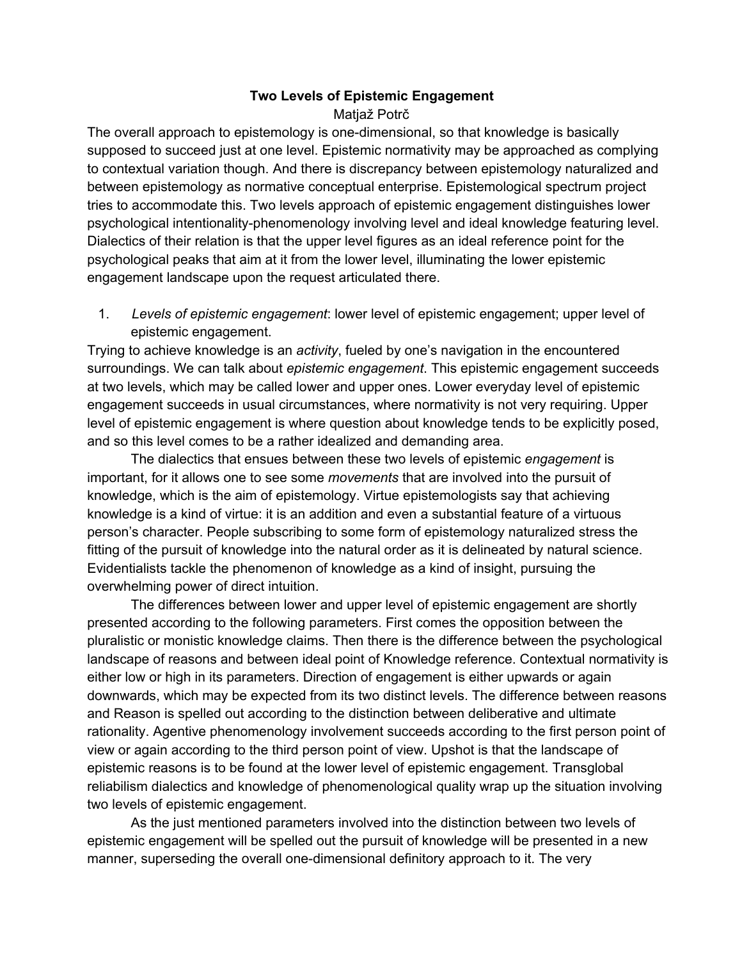## **Two Levels of Epistemic Engagement** Matjaž Potrč

The overall approach to epistemology is one-dimensional, so that knowledge is basically supposed to succeed just at one level. Epistemic normativity may be approached as complying to contextual variation though. And there is discrepancy between epistemology naturalized and between epistemology as normative conceptual enterprise. Epistemological spectrum project tries to accommodate this. Two levels approach of epistemic engagement distinguishes lower psychological intentionality-phenomenology involving level and ideal knowledge featuring level. Dialectics of their relation is that the upper level figures as an ideal reference point for the psychological peaks that aim at it from the lower level, illuminating the lower epistemic engagement landscape upon the request articulated there.

1. *Levels of epistemic engagement*: lower level of epistemic engagement; upper level of epistemic engagement.

Trying to achieve knowledge is an *activity*, fueled by one's navigation in the encountered surroundings. We can talk about *epistemic engagement*. This epistemic engagement succeeds at two levels, which may be called lower and upper ones. Lower everyday level of epistemic engagement succeeds in usual circumstances, where normativity is not very requiring. Upper level of epistemic engagement is where question about knowledge tends to be explicitly posed, and so this level comes to be a rather idealized and demanding area.

The dialectics that ensues between these two levels of epistemic *engagement* is important, for it allows one to see some *movements* that are involved into the pursuit of knowledge, which is the aim of epistemology. Virtue epistemologists say that achieving knowledge is a kind of virtue: it is an addition and even a substantial feature of a virtuous person's character. People subscribing to some form of epistemology naturalized stress the fitting of the pursuit of knowledge into the natural order as it is delineated by natural science. Evidentialists tackle the phenomenon of knowledge as a kind of insight, pursuing the overwhelming power of direct intuition.

The differences between lower and upper level of epistemic engagement are shortly presented according to the following parameters. First comes the opposition between the pluralistic or monistic knowledge claims. Then there is the difference between the psychological landscape of reasons and between ideal point of Knowledge reference. Contextual normativity is either low or high in its parameters. Direction of engagement is either upwards or again downwards, which may be expected from its two distinct levels. The difference between reasons and Reason is spelled out according to the distinction between deliberative and ultimate rationality. Agentive phenomenology involvement succeeds according to the first person point of view or again according to the third person point of view. Upshot is that the landscape of epistemic reasons is to be found at the lower level of epistemic engagement. Transglobal reliabilism dialectics and knowledge of phenomenological quality wrap up the situation involving two levels of epistemic engagement.

As the just mentioned parameters involved into the distinction between two levels of epistemic engagement will be spelled out the pursuit of knowledge will be presented in a new manner, superseding the overall one-dimensional definitory approach to it. The very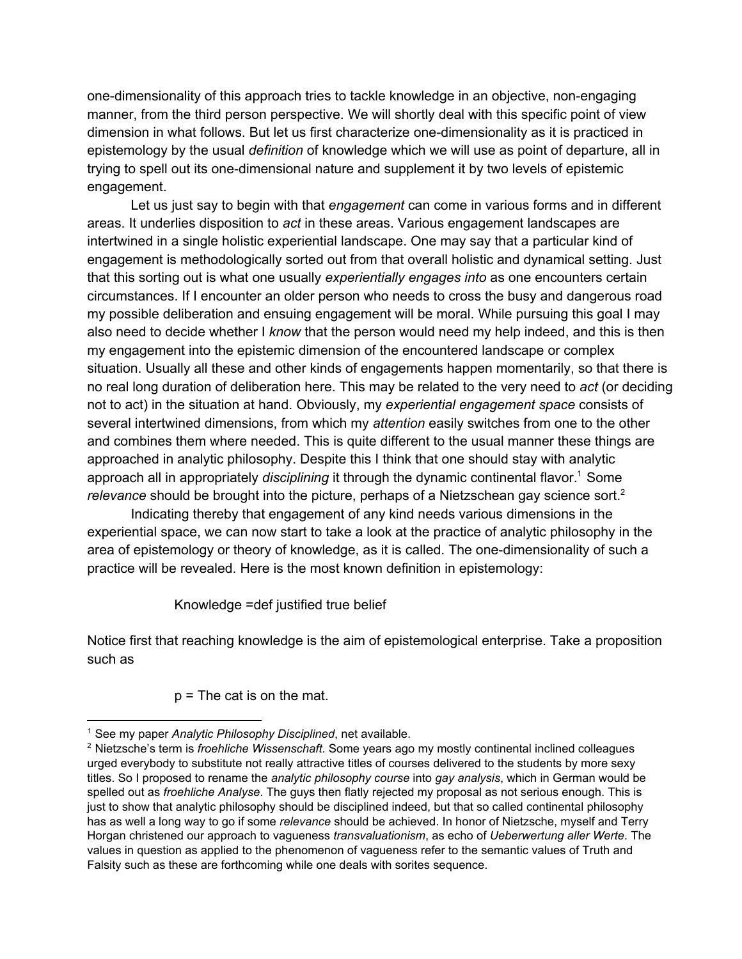one-dimensionality of this approach tries to tackle knowledge in an objective, non-engaging manner, from the third person perspective. We will shortly deal with this specific point of view dimension in what follows. But let us first characterize one-dimensionality as it is practiced in epistemology by the usual *definition* of knowledge which we will use as point of departure, all in trying to spell out its one-dimensional nature and supplement it by two levels of epistemic engagement.

Let us just say to begin with that *engagement* can come in various forms and in different areas. It underlies disposition to *act* in these areas. Various engagement landscapes are intertwined in a single holistic experiential landscape. One may say that a particular kind of engagement is methodologically sorted out from that overall holistic and dynamical setting. Just that this sorting out is what one usually *experientially engages into* as one encounters certain circumstances. If I encounter an older person who needs to cross the busy and dangerous road my possible deliberation and ensuing engagement will be moral. While pursuing this goal I may also need to decide whether I *know* that the person would need my help indeed, and this is then my engagement into the epistemic dimension of the encountered landscape or complex situation. Usually all these and other kinds of engagements happen momentarily, so that there is no real long duration of deliberation here. This may be related to the very need to *act* (or deciding not to act) in the situation at hand. Obviously, my *experiential engagement space* consists of several intertwined dimensions, from which my *attention* easily switches from one to the other and combines them where needed. This is quite different to the usual manner these things are approached in analytic philosophy. Despite this I think that one should stay with analytic approach all in appropriately *disciplining* it through the dynamic continental flavor.<sup>1</sup> Some *relevance* should be brought into the picture, perhaps of a Nietzschean gay science sort. 2

Indicating thereby that engagement of any kind needs various dimensions in the experiential space, we can now start to take a look at the practice of analytic philosophy in the area of epistemology or theory of knowledge, as it is called. The one-dimensionality of such a practice will be revealed. Here is the most known definition in epistemology:

Knowledge =def justified true belief

Notice first that reaching knowledge is the aim of epistemological enterprise. Take a proposition such as

 $p =$ The cat is on the mat.

<sup>1</sup> See my paper *Analytic Philosophy Disciplined*, net available.

<sup>2</sup> Nietzsche's term is *froehliche Wissenschaft*. Some years ago my mostly continental inclined colleagues urged everybody to substitute not really attractive titles of courses delivered to the students by more sexy titles. So I proposed to rename the *analytic philosophy course* into *gay analysis*, which in German would be spelled out as *froehliche Analyse*. The guys then flatly rejected my proposal as not serious enough. This is just to show that analytic philosophy should be disciplined indeed, but that so called continental philosophy has as well a long way to go if some *relevance* should be achieved. In honor of Nietzsche, myself and Terry Horgan christened our approach to vagueness *transvaluationism*, as echo of *Ueberwertung aller Werte*. The values in question as applied to the phenomenon of vagueness refer to the semantic values of Truth and Falsity such as these are forthcoming while one deals with sorites sequence.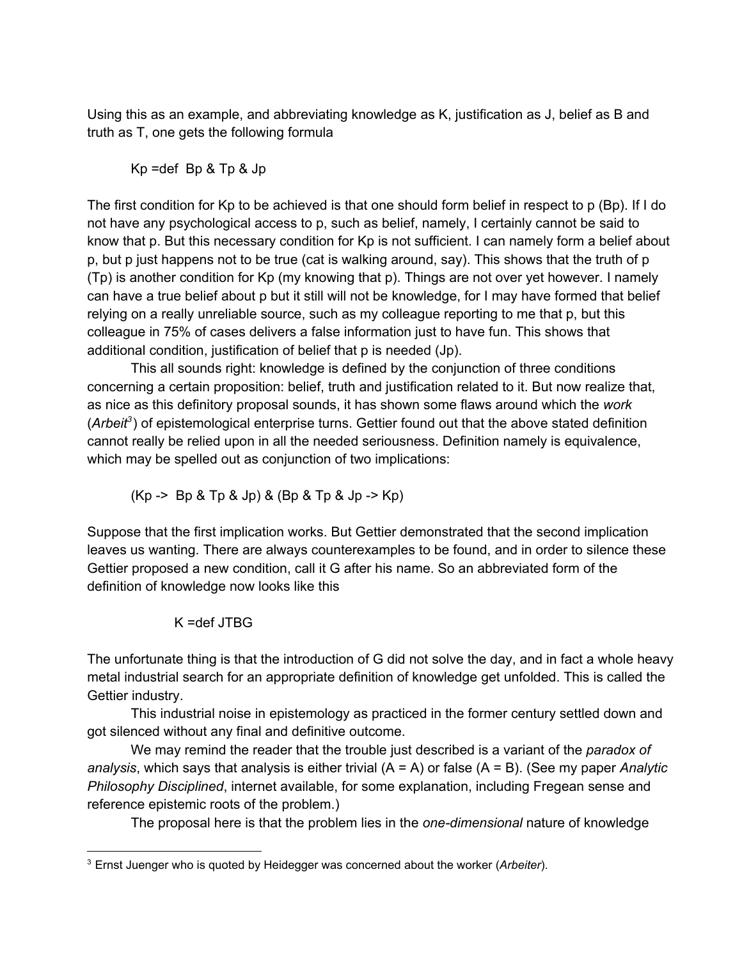Using this as an example, and abbreviating knowledge as K, justification as J, belief as B and truth as T, one gets the following formula

Kp =def Bp & Tp & Jp

The first condition for Kp to be achieved is that one should form belief in respect to p (Bp). If I do not have any psychological access to p, such as belief, namely, I certainly cannot be said to know that p. But this necessary condition for Kp is not sufficient. I can namely form a belief about p, but p just happens not to be true (cat is walking around, say). This shows that the truth of p (Tp) is another condition for Kp (my knowing that p). Things are not over yet however. I namely can have a true belief about p but it still will not be knowledge, for I may have formed that belief relying on a really unreliable source, such as my colleague reporting to me that p, but this colleague in 75% of cases delivers a false information just to have fun. This shows that additional condition, justification of belief that p is needed (Jp).

This all sounds right: knowledge is defined by the conjunction of three conditions concerning a certain proposition: belief, truth and justification related to it. But now realize that, as nice as this definitory proposal sounds, it has shown some flaws around which the *work* (Arbeit<sup>3</sup>) of epistemological enterprise turns. Gettier found out that the above stated definition cannot really be relied upon in all the needed seriousness. Definition namely is equivalence, which may be spelled out as conjunction of two implications:

 $(Kp \rightarrow Bp \& Tp \& Jp) \& (Bp \& Tp \& Jp \rightarrow Kp)$ 

Suppose that the first implication works. But Gettier demonstrated that the second implication leaves us wanting. There are always counterexamples to be found, and in order to silence these Gettier proposed a new condition, call it G after his name. So an abbreviated form of the definition of knowledge now looks like this

K =def JTBG

The unfortunate thing is that the introduction of G did not solve the day, and in fact a whole heavy metal industrial search for an appropriate definition of knowledge get unfolded. This is called the Gettier industry.

This industrial noise in epistemology as practiced in the former century settled down and got silenced without any final and definitive outcome.

We may remind the reader that the trouble just described is a variant of the *paradox of analysis*, which says that analysis is either trivial (A = A) or false (A = B). (See my paper *Analytic Philosophy Disciplined*, internet available, for some explanation, including Fregean sense and reference epistemic roots of the problem.)

The proposal here is that the problem lies in the *one-dimensional* nature of knowledge

<sup>3</sup> Ernst Juenger who is quoted by Heidegger was concerned about the worker (*Arbeiter*).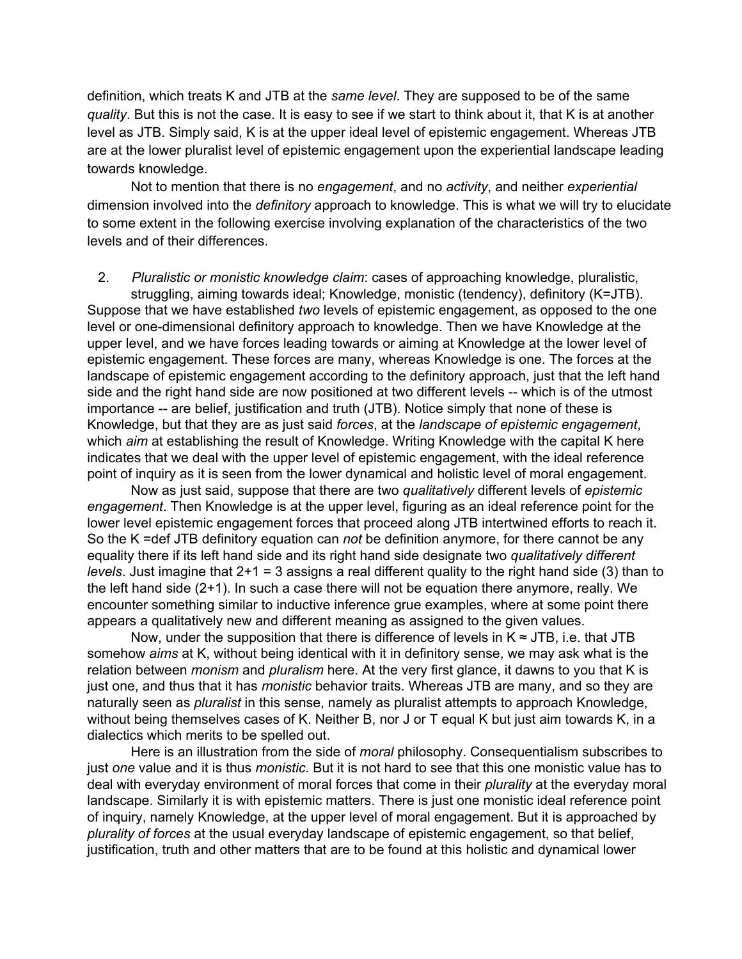definition, which treats K and JTB at the *same level*. They are supposed to be of the same *quality*. But this is not the case. It is easy to see if we start to think about it, that K is at another level as JTB. Simply said, K is at the upper ideal level of epistemic engagement. Whereas JTB are at the lower pluralist level of epistemic engagement upon the experiential landscape leading towards knowledge.

Not to mention that there is no *engagement*, and no *activity*, and neither *experiential* dimension involved into the *definitory* approach to knowledge. This is what we will try to elucidate to some extent in the following exercise involving explanation of the characteristics of the two levels and of their differences.

2. *Pluralistic or monistic knowledge claim*: cases of approaching knowledge, pluralistic, struggling, aiming towards ideal; Knowledge, monistic (tendency), definitory (K=JTB).

Suppose that we have established *two* levels of epistemic engagement, as opposed to the one level or one-dimensional definitory approach to knowledge. Then we have Knowledge at the upper level, and we have forces leading towards or aiming at Knowledge at the lower level of epistemic engagement. These forces are many, whereas Knowledge is one. The forces at the landscape of epistemic engagement according to the definitory approach, just that the left hand side and the right hand side are now positioned at two different levels -- which is of the utmost importance -- are belief, justification and truth (JTB). Notice simply that none of these is Knowledge, but that they are as just said *forces*, at the *landscape of epistemic engagement*, which *aim* at establishing the result of Knowledge. Writing Knowledge with the capital K here indicates that we deal with the upper level of epistemic engagement, with the ideal reference point of inquiry as it is seen from the lower dynamical and holistic level of moral engagement.

Now as just said, suppose that there are two *qualitatively* different levels of *epistemic engagement*. Then Knowledge is at the upper level, figuring as an ideal reference point for the lower level epistemic engagement forces that proceed along JTB intertwined efforts to reach it. So the K =def JTB definitory equation can *not* be definition anymore, for there cannot be any equality there if its left hand side and its right hand side designate two *qualitatively different levels*. Just imagine that 2+1 = 3 assigns a real different quality to the right hand side (3) than to the left hand side (2+1). In such a case there will not be equation there anymore, really. We encounter something similar to inductive inference grue examples, where at some point there appears a qualitatively new and different meaning as assigned to the given values.

Now, under the supposition that there is difference of levels in  $K \approx JTB$ , i.e. that JTB somehow *aims* at K, without being identical with it in definitory sense, we may ask what is the relation between *monism* and *pluralism* here. At the very first glance, it dawns to you that K is just one, and thus that it has *monistic* behavior traits. Whereas JTB are many, and so they are naturally seen as *pluralist* in this sense, namely as pluralist attempts to approach Knowledge, without being themselves cases of K. Neither B, nor J or T equal K but just aim towards K, in a dialectics which merits to be spelled out.

Here is an illustration from the side of *moral* philosophy. Consequentialism subscribes to just *one* value and it is thus *monistic*. But it is not hard to see that this one monistic value has to deal with everyday environment of moral forces that come in their *plurality* at the everyday moral landscape. Similarly it is with epistemic matters. There is just one monistic ideal reference point of inquiry, namely Knowledge, at the upper level of moral engagement. But it is approached by *plurality of forces* at the usual everyday landscape of epistemic engagement, so that belief, justification, truth and other matters that are to be found at this holistic and dynamical lower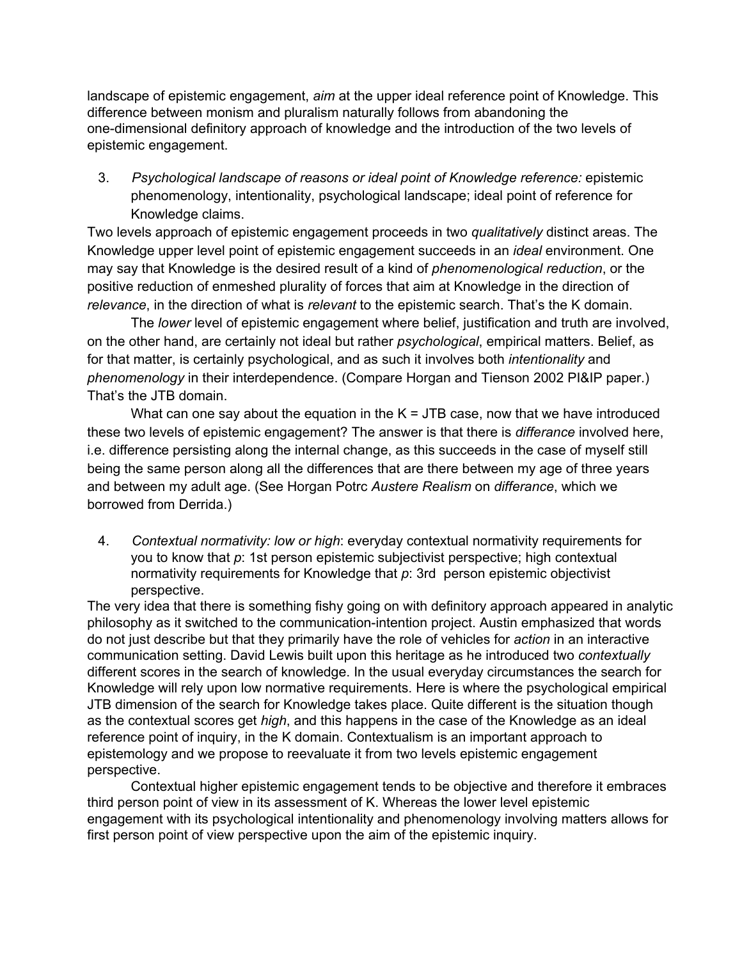landscape of epistemic engagement, *aim* at the upper ideal reference point of Knowledge. This difference between monism and pluralism naturally follows from abandoning the one-dimensional definitory approach of knowledge and the introduction of the two levels of epistemic engagement.

3. *Psychological landscape of reasons or ideal point of Knowledge reference:* epistemic phenomenology, intentionality, psychological landscape; ideal point of reference for Knowledge claims.

Two levels approach of epistemic engagement proceeds in two *qualitatively* distinct areas. The Knowledge upper level point of epistemic engagement succeeds in an *ideal* environment. One may say that Knowledge is the desired result of a kind of *phenomenological reduction*, or the positive reduction of enmeshed plurality of forces that aim at Knowledge in the direction of *relevance*, in the direction of what is *relevant* to the epistemic search. That's the K domain.

The *lower* level of epistemic engagement where belief, justification and truth are involved, on the other hand, are certainly not ideal but rather *psychological*, empirical matters. Belief, as for that matter, is certainly psychological, and as such it involves both *intentionality* and *phenomenology* in their interdependence. (Compare Horgan and Tienson 2002 PI&IP paper.) That's the JTB domain.

What can one say about the equation in the  $K = JTB$  case, now that we have introduced these two levels of epistemic engagement? The answer is that there is *differance* involved here, i.e. difference persisting along the internal change, as this succeeds in the case of myself still being the same person along all the differences that are there between my age of three years and between my adult age. (See Horgan Potrc *Austere Realism* on *differance*, which we borrowed from Derrida.)

4. *Contextual normativity: low or high*: everyday contextual normativity requirements for you to know that *p*: 1st person epistemic subjectivist perspective; high contextual normativity requirements for Knowledge that *p*: 3rd person epistemic objectivist perspective.

The very idea that there is something fishy going on with definitory approach appeared in analytic philosophy as it switched to the communication-intention project. Austin emphasized that words do not just describe but that they primarily have the role of vehicles for *action* in an interactive communication setting. David Lewis built upon this heritage as he introduced two *contextually* different scores in the search of knowledge. In the usual everyday circumstances the search for Knowledge will rely upon low normative requirements. Here is where the psychological empirical JTB dimension of the search for Knowledge takes place. Quite different is the situation though as the contextual scores get *high*, and this happens in the case of the Knowledge as an ideal reference point of inquiry, in the K domain. Contextualism is an important approach to epistemology and we propose to reevaluate it from two levels epistemic engagement perspective.

Contextual higher epistemic engagement tends to be objective and therefore it embraces third person point of view in its assessment of K. Whereas the lower level epistemic engagement with its psychological intentionality and phenomenology involving matters allows for first person point of view perspective upon the aim of the epistemic inquiry.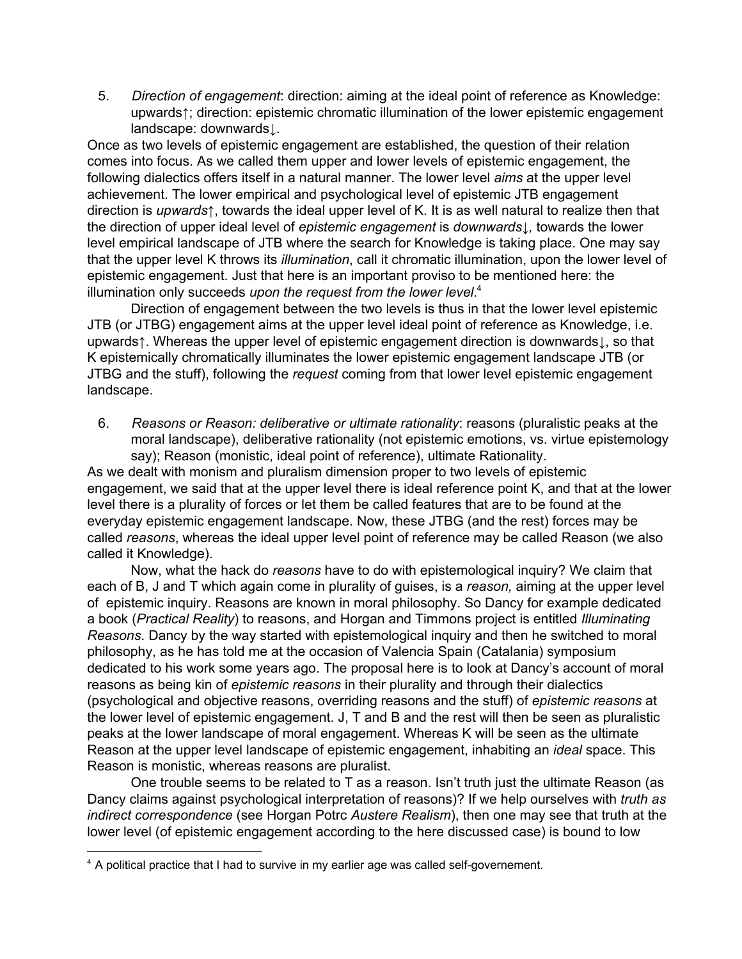5. *Direction of engagement*: direction: aiming at the ideal point of reference as Knowledge: upwards↑; direction: epistemic chromatic illumination of the lower epistemic engagement landscape: downwards↓.

Once as two levels of epistemic engagement are established, the question of their relation comes into focus. As we called them upper and lower levels of epistemic engagement, the following dialectics offers itself in a natural manner. The lower level *aims* at the upper level achievement. The lower empirical and psychological level of epistemic JTB engagement direction is *upwards*↑, towards the ideal upper level of K. It is as well natural to realize then that the direction of upper ideal level of *epistemic engagement* is *downwards↓,* towards the lower level empirical landscape of JTB where the search for Knowledge is taking place. One may say that the upper level K throws its *illumination*, call it chromatic illumination, upon the lower level of epistemic engagement. Just that here is an important proviso to be mentioned here: the illumination only succeeds *upon the request from the lower level*. 4

Direction of engagement between the two levels is thus in that the lower level epistemic JTB (or JTBG) engagement aims at the upper level ideal point of reference as Knowledge, i.e. upwards↑. Whereas the upper level of epistemic engagement direction is downwards↓, so that K epistemically chromatically illuminates the lower epistemic engagement landscape JTB (or JTBG and the stuff), following the *request* coming from that lower level epistemic engagement landscape.

6. *Reasons or Reason: deliberative or ultimate rationality*: reasons (pluralistic peaks at the moral landscape), deliberative rationality (not epistemic emotions, vs. virtue epistemology say); Reason (monistic, ideal point of reference), ultimate Rationality.

As we dealt with monism and pluralism dimension proper to two levels of epistemic engagement, we said that at the upper level there is ideal reference point K, and that at the lower level there is a plurality of forces or let them be called features that are to be found at the everyday epistemic engagement landscape. Now, these JTBG (and the rest) forces may be called *reasons*, whereas the ideal upper level point of reference may be called Reason (we also called it Knowledge).

Now, what the hack do *reasons* have to do with epistemological inquiry? We claim that each of B, J and T which again come in plurality of guises, is a *reason,* aiming at the upper level of epistemic inquiry. Reasons are known in moral philosophy. So Dancy for example dedicated a book (*Practical Reality*) to reasons, and Horgan and Timmons project is entitled *Illuminating Reasons*. Dancy by the way started with epistemological inquiry and then he switched to moral philosophy, as he has told me at the occasion of Valencia Spain (Catalania) symposium dedicated to his work some years ago. The proposal here is to look at Dancy's account of moral reasons as being kin of *epistemic reasons* in their plurality and through their dialectics (psychological and objective reasons, overriding reasons and the stuff) of *epistemic reasons* at the lower level of epistemic engagement. J, T and B and the rest will then be seen as pluralistic peaks at the lower landscape of moral engagement. Whereas K will be seen as the ultimate Reason at the upper level landscape of epistemic engagement, inhabiting an *ideal* space. This Reason is monistic, whereas reasons are pluralist.

One trouble seems to be related to T as a reason. Isn't truth just the ultimate Reason (as Dancy claims against psychological interpretation of reasons)? If we help ourselves with *truth as indirect correspondence* (see Horgan Potrc *Austere Realism*), then one may see that truth at the lower level (of epistemic engagement according to the here discussed case) is bound to low

<sup>&</sup>lt;sup>4</sup> A political practice that I had to survive in my earlier age was called self-governement.